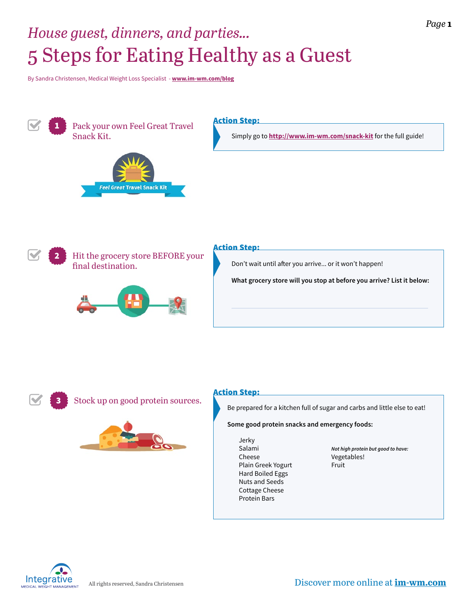# 5 Steps for Eating Healthy as a Guest *House guest, dinners, and parties...*

By Sandra Christensen, Medical Weight Loss Specialist - **[www.im-wm.com/blog](http://www.im-wm.com/blog/)**



Pack your own Feel Great Travel Snack Kit.



### Action Step:

Simply go to **<http://www.im-wm.com/snack-kit>** for the full guide!



Hit the grocery store BEFORE your final destination.



#### Action Step:

Don't wait until after you arrive... or it won't happen!

**What grocery store will you stop at before you arrive? List it below:**





### Action Step:

Be prepared for a kitchen full of sugar and carbs and little else to eat!

**Some good protein snacks and emergency foods:**

Jerky Salami Cheese Plain Greek Yogurt Hard Boiled Eggs Nuts and Seeds Cottage Cheese Protein Bars

*Not high protein but good to have:* Vegetables! Fruit